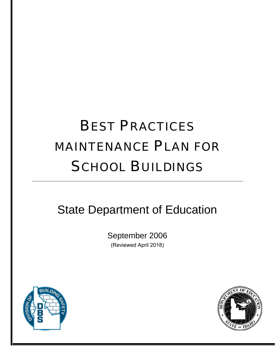# BEST PRACTICES MAINTENANCE PLAN FOR SCHOOL BUILDINGS

## State Department of Education

September 2006 (Reviewed April 2018)



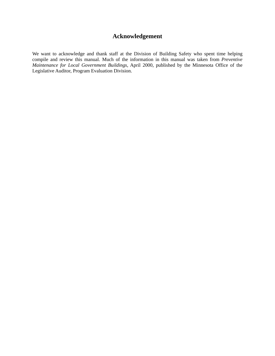## **Acknowledgement**

We want to acknowledge and thank staff at the Division of Building Safety who spent time helping compile and review this manual. Much of the information in this manual was taken from *Preventive Maintenance for Local Government Buildings*, April 2000, published by the Minnesota Office of the Legislative Auditor, Program Evaluation Division.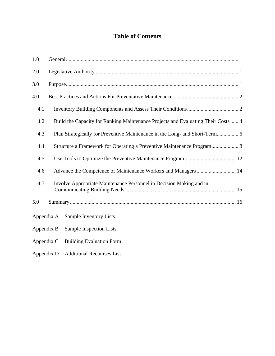## **Table of Contents**

| Build the Capacity for Ranking Maintenance Projects and Evaluating Their Costs  4 |
|-----------------------------------------------------------------------------------|
| Plan Strategically for Preventive Maintenance in the Long- and Short-Term 6       |
| Structure a Framework for Operating a Preventive Maintenance Program 8            |
|                                                                                   |
| Advance the Competence of Maintenance Workers and Managers  14                    |
| Involve Appropriate Maintenance Personnel in Decision Making and in               |
|                                                                                   |
| Sample Inventory Lists                                                            |
| Sample Inspection Lists                                                           |
| <b>Building Evaluation Form</b>                                                   |
| Appendix A<br>Appendix B<br>Appendix C                                            |

Appendix D Additional Recourses List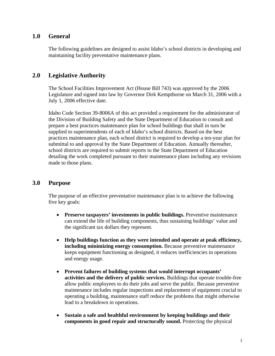## **1.0 General**

The following guidelines are designed to assist Idaho's school districts in developing and maintaining facility preventative maintenance plans.

## **2.0 Legislative Authority**

 The School Facilities Improvement Act (House Bill 743) was approved by the 2006 Legislature and signed into law by Governor Dirk Kempthorne on March 31, 2006 with a July 1, 2006 effective date.

 Idaho Code Section 39-8006A of this act provided a requirement for the administrator of the Division of Building Safety and the State Department of Education to consult and prepare a best practices maintenance plan for school buildings that shall in turn be supplied to superintendents of each of Idaho's school districts. Based on the best practices maintenance plan, each school district is required to develop a ten-year plan for submittal to and approval by the State Department of Education. Annually thereafter, school districts are required to submit reports to the State Department of Education detailing the work completed pursuant to their maintenance plans including any revisions made to those plans.

## **3.0 Purpose**

 The purpose of an effective preventative maintenance plan is to achieve the following five key goals:

- **Preserve taxpayers' investments in public buildings.** Preventive maintenance can extend the life of building components, thus sustaining buildings' value and the significant tax dollars they represent.
- **Help buildings function as they were intended and operate at peak efficiency, including minimizing energy consumption.** Because preventive maintenance keeps equipment functioning as designed, it reduces inefficiencies in operations and energy usage.
- **Prevent failures of building systems that would interrupt occupants' activities and the delivery of public services.** Buildings that operate trouble-free allow public employees to do their jobs and serve the public. Because preventive maintenance includes regular inspections and replacement of equipment crucial to operating a building, maintenance staff reduce the problems that might otherwise lead to a breakdown in operations.
- **Sustain a safe and healthful environment by keeping buildings and their components in good repair and structurally sound.** Protecting the physical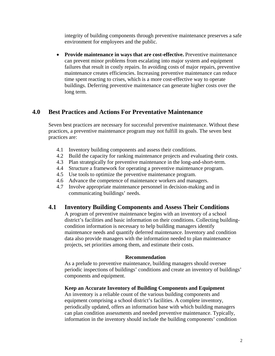integrity of building components through preventive maintenance preserves a safe environment for employees and the public.

• **Provide maintenance in ways that are cost-effective.** Preventive maintenance can prevent minor problems from escalating into major system and equipment failures that result in costly repairs. In avoiding costs of major repairs, preventive maintenance creates efficiencies. Increasing preventive maintenance can reduce time spent reacting to crises, which is a more cost-effective way to operate buildings. Deferring preventive maintenance can generate higher costs over the long term.

## **4.0 Best Practices and Actions For Preventative Maintenance**

 Seven best practices are necessary for successful preventive maintenance. Without these practices, a preventive maintenance program may not fulfill its goals. The seven best practices are:

- 4.1 Inventory building components and assess their conditions.
- 4.2 Build the capacity for ranking maintenance projects and evaluating their costs.
- 4.3 Plan strategically for preventive maintenance in the long-and-short-term.
- 4.4 Structure a framework for operating a preventive maintenance program.
- 4.5 Use tools to optimize the preventive maintenance program.
- 4.6 Advance the competence of maintenance workers and managers.
- 4.7 Involve appropriate maintenance personnel in decision-making and in communicating buildings' needs.

## **4.1 Inventory Building Components and Assess Their Conditions**

 A program of preventive maintenance begins with an inventory of a school district's facilities and basic information on their conditions. Collecting buildingcondition information is necessary to help building managers identify maintenance needs and quantify deferred maintenance. Inventory and condition data also provide managers with the information needed to plan maintenance projects, set priorities among them, and estimate their costs.

## **Recommendation**

As a prelude to preventive maintenance, building managers should oversee periodic inspections of buildings' conditions and create an inventory of buildings' components and equipment.

## **Keep an Accurate Inventory of Building Components and Equipment**

An inventory is a reliable count of the various building components and equipment comprising a school district's facilities. A complete inventory, periodically updated, offers an information base with which building managers can plan condition assessments and needed preventive maintenance. Typically, information in the inventory should include the building components' condition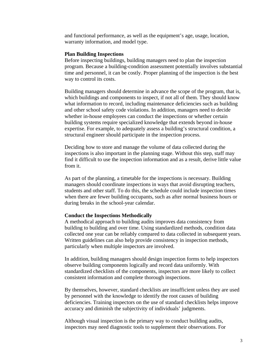and functional performance, as well as the equipment's age, usage, location, warranty information, and model type.

## **Plan Building Inspections**

Before inspecting buildings, building managers need to plan the inspection program. Because a building-condition assessment potentially involves substantial time and personnel, it can be costly. Proper planning of the inspection is the best way to control its costs.

 Building managers should determine in advance the scope of the program, that is, which buildings and components to inspect, if not all of them. They should know what information to record, including maintenance deficiencies such as building and other school safety code violations. In addition, managers need to decide whether in-house employees can conduct the inspections or whether certain building systems require specialized knowledge that extends beyond in-house expertise. For example, to adequately assess a building's structural condition, a structural engineer should participate in the inspection process.

 Deciding how to store and manage the volume of data collected during the inspections is also important in the planning stage. Without this step, staff may find it difficult to use the inspection information and as a result, derive little value from it.

As part of the planning, a timetable for the inspections is necessary. Building managers should coordinate inspections in ways that avoid disrupting teachers, students and other staff. To do this, the schedule could include inspection times when there are fewer building occupants, such as after normal business hours or during breaks in the school-year calendar.

## **Conduct the Inspections Methodically**

A methodical approach to building audits improves data consistency from building to building and over time. Using standardized methods, condition data collected one year can be reliably compared to data collected in subsequent years. Written guidelines can also help provide consistency in inspection methods, particularly when multiple inspectors are involved.

In addition, building managers should design inspection forms to help inspectors observe building components logically and record data uniformly. With standardized checklists of the components, inspectors are more likely to collect consistent information and complete thorough inspections.

By themselves, however, standard checklists are insufficient unless they are used by personnel with the knowledge to identify the root causes of building deficiencies. Training inspectors on the use of standard checklists helps improve accuracy and diminish the subjectivity of individuals' judgments.

 Although visual inspection is the primary way to conduct building audits, inspectors may need diagnostic tools to supplement their observations. For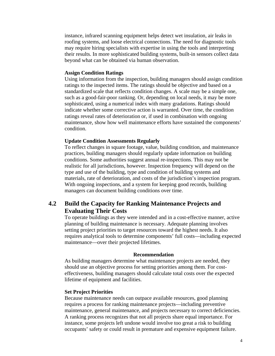instance, infrared scanning equipment helps detect wet insulation, air leaks in roofing systems, and loose electrical connections. The need for diagnostic tools may require hiring specialists with expertise in using the tools and interpreting their results. In more sophisticated building systems, built-in sensors collect data beyond what can be obtained via human observation.

#### **Assign Condition Ratings**

Using information from the inspection, building managers should assign condition ratings to the inspected items. The ratings should be objective and based on a standardized scale that reflects condition changes. A scale may be a simple one, such as a good-fair-poor ranking. Or, depending on local needs, it may be more sophisticated, using a numerical index with many gradations. Ratings should indicate whether some corrective action is warranted. Over time, the condition ratings reveal rates of deterioration or, if used in combination with ongoing maintenance, show how well maintenance efforts have sustained the components' condition.

## **Update Condition Assessments Regularly**

To reflect changes in square footage, value, building condition, and maintenance practices, building managers should regularly update information on building conditions. Some authorities suggest annual re-inspections. This may not be realistic for all jurisdictions, however. Inspection frequency will depend on the type and use of the building, type and condition of building systems and materials, rate of deterioration, and costs of the jurisdiction's inspection program. With ongoing inspections, and a system for keeping good records, building managers can document building conditions over time.

## **4.2 Build the Capacity for Ranking Maintenance Projects and Evaluating Their Costs**

To operate buildings as they were intended and in a cost-effective manner, active planning of building maintenance is necessary. Adequate planning involves setting project priorities to target resources toward the highest needs. It also requires analytical tools to determine components' full costs—including expected maintenance—over their projected lifetimes.

#### **Recommendation**

As building managers determine what maintenance projects are needed, they should use an objective process for setting priorities among them. For costeffectiveness, building managers should calculate total costs over the expected lifetime of equipment and facilities.

## **Set Project Priorities**

Because maintenance needs can outpace available resources, good planning requires a process for ranking maintenance projects—including preventive maintenance, general maintenance, and projects necessary to correct deficiencies. A ranking process recognizes that not all projects share equal importance. For instance, some projects left undone would involve too great a risk to building occupants' safety or could result in premature and expensive equipment failure.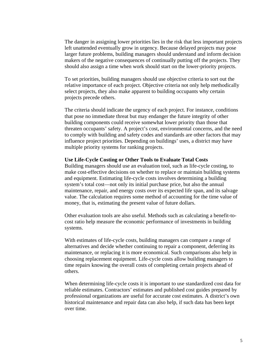The danger in assigning lower priorities lies in the risk that less important projects left unattended eventually grow in urgency. Because delayed projects may pose larger future problems, building managers should understand and inform decision makers of the negative consequences of continually putting off the projects. They should also assign a time when work should start on the lower-priority projects.

To set priorities, building managers should use objective criteria to sort out the relative importance of each project. Objective criteria not only help methodically select projects, they also make apparent to building occupants why certain projects precede others.

The criteria should indicate the urgency of each project. For instance, conditions that pose no immediate threat but may endanger the future integrity of other building components could receive somewhat lower priority than those that threaten occupants' safety. A project's cost, environmental concerns, and the need to comply with building and safety codes and standards are other factors that may influence project priorities. Depending on buildings' uses, a district may have multiple priority systems for ranking projects.

#### **Use Life-Cycle Costing or Other Tools to Evaluate Total Costs**

Building managers should use an evaluation tool, such as life-cycle costing, to make cost-effective decisions on whether to replace or maintain building systems and equipment. Estimating life-cycle costs involves determining a building system's total cost—not only its initial purchase price, but also the annual maintenance, repair, and energy costs over its expected life span, and its salvage value. The calculation requires some method of accounting for the time value of money, that is, estimating the present value of future dollars.

Other evaluation tools are also useful. Methods such as calculating a benefit-tocost ratio help measure the economic performance of investments in building systems.

With estimates of life-cycle costs, building managers can compare a range of alternatives and decide whether continuing to repair a component, deferring its maintenance, or replacing it is more economical. Such comparisons also help in choosing replacement equipment. Life-cycle costs allow building managers to time repairs knowing the overall costs of completing certain projects ahead of others.

When determining life-cycle costs it is important to use standardized cost data for reliable estimates. Contractors' estimates and published cost guides prepared by professional organizations are useful for accurate cost estimates. A district's own historical maintenance and repair data can also help, if such data has been kept over time.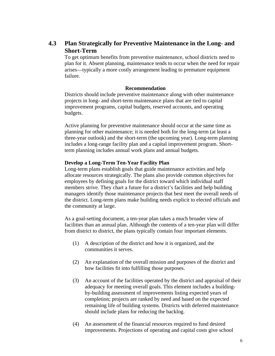## **4.3 Plan Strategically for Preventive Maintenance in the Long- and Short-Term**

To get optimum benefits from preventive maintenance, school districts need to plan for it. Absent planning, maintenance tends to occur when the need for repair arises—typically a more costly arrangement leading to premature equipment failure.

## **Recommendation**

Districts should include preventive maintenance along with other maintenance projects in long- and short-term maintenance plans that are tied to capital improvement programs, capital budgets, reserved accounts, and operating budgets.

 Active planning for preventive maintenance should occur at the same time as planning for other maintenance; it is needed both for the long-term (at least a three-year outlook) and the short-term (the upcoming year). Long-term planning includes a long-range facility plan and a capital improvement program. Shortterm planning includes annual work plans and annual budgets.

## **Develop a Long-Term Ten-Year Facility Plan**

Long-term plans establish goals that guide maintenance activities and help allocate resources strategically. The plans also provide common objectives for employees by defining goals for the district toward which individual staff members strive. They chart a future for a district's facilities and help building managers identify those maintenance projects that best meet the overall needs of the district. Long-term plans make building needs explicit to elected officials and the community at large.

 As a goal-setting document, a ten-year plan takes a much broader view of facilities than an annual plan. Although the contents of a ten-year plan will differ from district to district, the plans typically contain four important elements.

- (1) A description of the district and how it is organized, and the communities it serves.
- (2) An explanation of the overall mission and purposes of the district and how facilities fit into fulfilling those purposes.
- (3) An account of the facilities operated by the district and appraisal of their adequacy for meeting overall goals. This element includes a buildingby-building assessment of improvements listing expected years of completion; projects are ranked by need and based on the expected remaining life of building systems. Districts with deferred maintenance should include plans for reducing the backlog.
- (4) An assessment of the financial resources required to fund desired improvements. Projections of operating and capital costs give school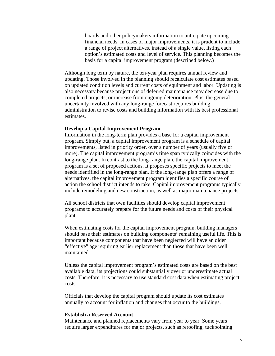boards and other policymakers information to anticipate upcoming financial needs. In cases of major improvements, it is prudent to include a range of project alternatives, instead of a single value, listing each option's estimated costs and level of service. This planning becomes the basis for a capital improvement program (described below.)

Although long term by nature, the ten-year plan requires annual review and updating. Those involved in the planning should recalculate cost estimates based on updated condition levels and current costs of equipment and labor. Updating is also necessary because projections of deferred maintenance may decrease due to completed projects, or increase from ongoing deterioration. Plus, the general uncertainty involved with any long-range forecast requires building administration to revise costs and building information with its best professional estimates.

#### **Develop a Capital Improvement Program**

 Information in the long-term plan provides a base for a capital improvement program. Simply put, a capital improvement program is a schedule of capital improvements, listed in priority order, over a number of years (usually five or more). The capital improvement program's time span typically coincides with the long-range plan. In contrast to the long-range plan, the capital improvement program is a set of proposed actions. It proposes specific projects to meet the needs identified in the long-range plan. If the long-range plan offers a range of alternatives, the capital improvement program identifies a specific course of action the school district intends to take. Capital improvement programs typically include remodeling and new construction, as well as major maintenance projects.

 All school districts that own facilities should develop capital improvement programs to accurately prepare for the future needs and costs of their physical plant.

 When estimating costs for the capital improvement program, building managers should base their estimates on building components' remaining useful life. This is important because components that have been neglected will have an older "effective" age requiring earlier replacement than those that have been well maintained.

 Unless the capital improvement program's estimated costs are based on the best available data, its projections could substantially over or underestimate actual costs. Therefore, it is necessary to use standard cost data when estimating project costs.

 Officials that develop the capital program should update its cost estimates annually to account for inflation and changes that occur to the buildings.

## **Establish a Reserved Account**

 Maintenance and planned replacements vary from year to year. Some years require larger expenditures for major projects, such as reroofing, tuckpointing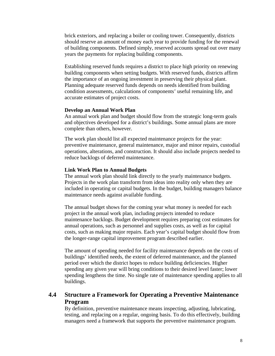brick exteriors, and replacing a boiler or cooling tower. Consequently, districts should reserve an amount of money each year to provide funding for the renewal of building components. Defined simply, reserved accounts spread out over many years the payments for replacing building components.

Establishing reserved funds requires a district to place high priority on renewing building components when setting budgets. With reserved funds, districts affirm the importance of an ongoing investment in preserving their physical plant. Planning adequate reserved funds depends on needs identified from building condition assessments, calculations of components' useful remaining life, and accurate estimates of project costs.

### **Develop an Annual Work Plan**

An annual work plan and budget should flow from the strategic long-term goals and objectives developed for a district's buildings. Some annual plans are more complete than others, however.

The work plan should list all expected maintenance projects for the year: preventive maintenance, general maintenance, major and minor repairs, custodial operations, alterations, and construction. It should also include projects needed to reduce backlogs of deferred maintenance.

## **Link Work Plan to Annual Budgets**

The annual work plan should link directly to the yearly maintenance budgets. Projects in the work plan transform from ideas into reality only when they are included in operating or capital budgets. In the budget, building managers balance maintenance needs against available funding.

The annual budget shows for the coming year what money is needed for each project in the annual work plan, including projects intended to reduce maintenance backlogs. Budget development requires preparing cost estimates for annual operations, such as personnel and supplies costs, as well as for capital costs, such as making major repairs. Each year's capital budget should flow from the longer-range capital improvement program described earlier.

The amount of spending needed for facility maintenance depends on the costs of buildings' identified needs, the extent of deferred maintenance, and the planned period over which the district hopes to reduce building deficiencies. Higher spending any given year will bring conditions to their desired level faster; lower spending lengthens the time. No single rate of maintenance spending applies to all buildings.

## **4.4 Structure a Framework for Operating a Preventive Maintenance Program**

By definition, preventive maintenance means inspecting, adjusting, lubricating, testing, and replacing on a regular, ongoing basis. To do this effectively, building managers need a framework that supports the preventive maintenance program.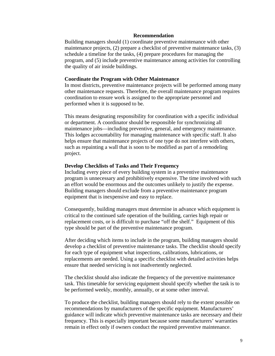## **Recommendation**

Building managers should (1) coordinate preventive maintenance with other maintenance projects, (2) prepare a checklist of preventive maintenance tasks, (3) schedule a timeline for the tasks, (4) prepare procedures for managing the program, and (5) include preventive maintenance among activities for controlling the quality of air inside buildings.

## **Coordinate the Program with Other Maintenance**

In most districts, preventive maintenance projects will be performed among many other maintenance requests. Therefore, the overall maintenance program requires coordination to ensure work is assigned to the appropriate personnel and performed when it is supposed to be.

This means designating responsibility for coordination with a specific individual or department. A coordinator should be responsible for synchronizing all maintenance jobs—including preventive, general, and emergency maintenance. This lodges accountability for managing maintenance with specific staff. It also helps ensure that maintenance projects of one type do not interfere with others, such as repainting a wall that is soon to be modified as part of a remodeling project.

## **Develop Checklists of Tasks and Their Frequency**

Including every piece of every building system in a preventive maintenance program is unnecessary and prohibitively expensive. The time involved with such an effort would be enormous and the outcomes unlikely to justify the expense. Building managers should exclude from a preventive maintenance program equipment that is inexpensive and easy to replace.

Consequently, building managers must determine in advance which equipment is critical to the continued safe operation of the building, carries high repair or replacement costs, or is difficult to purchase "off the shelf." Equipment of this type should be part of the preventive maintenance program.

After deciding which items to include in the program, building managers should develop a checklist of preventive maintenance tasks. The checklist should specify for each type of equipment what inspections, calibrations, lubrications, or replacements are needed. Using a specific checklist with detailed activities helps ensure that needed servicing is not inadvertently neglected.

The checklist should also indicate the frequency of the preventive maintenance task. This timetable for servicing equipment should specify whether the task is to be performed weekly, monthly, annually, or at some other interval.

To produce the checklist, building managers should rely to the extent possible on recommendations by manufacturers of the specific equipment. Manufacturers' guidance will indicate which preventive maintenance tasks are necessary and their frequency. This is especially important because some manufacturers' warranties remain in effect only if owners conduct the required preventive maintenance.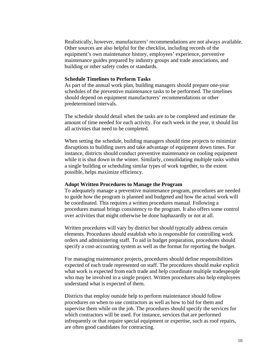Realistically, however, manufacturers' recommendations are not always available. Other sources are also helpful for the checklist, including records of the equipment's own maintenance history, employees' experience, preventive maintenance guides prepared by industry groups and trade associations, and building or other safety codes or standards.

## **Schedule Timelines to Perform Tasks**

As part of the annual work plan, building managers should prepare one-year schedules of the preventive maintenance tasks to be performed. The timelines should depend on equipment manufacturers' recommendations or other predetermined intervals.

The schedule should detail when the tasks are to be completed and estimate the amount of time needed for each activity. For each week in the year, it should list all activities that need to be completed.

When setting the schedule, building managers should time projects to minimize disruptions to building users and take advantage of equipment down times. For instance, districts should conduct preventive maintenance on cooling equipment while it is shut down in the winter. Similarly, consolidating multiple tasks within a single building or scheduling similar types of work together, to the extent possible, helps maximize efficiency.

#### **Adopt Written Procedures to Manage the Program**

To adequately manage a preventive maintenance program, procedures are needed to guide how the program is planned and budgeted and how the actual work will be coordinated. This requires a written procedures manual. Following a procedures manual brings consistency to the program. It also offers some control over activities that might otherwise be done haphazardly or not at all.

Written procedures will vary by district but should typically address certain elements. Procedures should establish who is responsible for controlling work orders and administering staff. To aid in budget preparation, procedures should specify a cost-accounting system as well as the format for reporting the budget.

For managing maintenance projects, procedures should define responsibilities expected of each trade represented on staff. The procedures should make explicit what work is expected from each trade and help coordinate multiple tradespeople who may be involved in a single project. Written procedures also help employees understand what is expected of them.

Districts that employ outside help to perform maintenance should follow procedures on when to use contractors as well as how to bid for them and supervise them while on the job. The procedures should specify the services for which contractors will be used. For instance, services that are performed infrequently or that require special equipment or expertise, such as roof repairs, are often good candidates for contracting.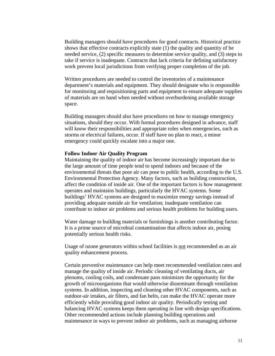Building managers should have procedures for good contracts. Historical practice shows that effective contracts explicitly state (1) the quality and quantity of he needed service, (2) specific measures to determine service quality, and (3) steps to take if service is inadequate. Contracts that lack criteria for defining satisfactory work prevent local jurisdictions from verifying proper completion of the job.

Written procedures are needed to control the inventories of a maintenance department's materials and equipment. They should designate who is responsible for monitoring and requisitioning parts and equipment to ensure adequate supplies of materials are on hand when needed without overburdening available storage space.

Building managers should also have procedures on how to manage emergency situations, should they occur. With formal procedures designed in advance, staff will know their responsibilities and appropriate roles when emergencies, such as storms or electrical failures, occur. If staff have no plan to react, a minor emergency could quickly escalate into a major one.

## **Follow Indoor Air Quality Program**

Maintaining the quality of indoor air has become increasingly important due to the large amount of time people tend to spend indoors and because of the environmental threats that poor air can pose to public health, according to the U.S. Environmental Protection Agency. Many factors, such as building construction, affect the condition of inside air. One of the important factors is how management operates and maintains buildings, particularly the HVAC systems. Some buildings' HVAC systems are designed to maximize energy savings instead of providing adequate outside air for ventilation; inadequate ventilation can contribute to indoor air problems and serious health problems for building users.

Water damage to building materials or furnishings is another contributing factor. It is a prime source of microbial contamination that affects indoor air, posing potentially serious health risks.

Usage of ozone generators within school facilities is not recommended as an air quality enhancement process.

Certain preventive maintenance can help meet recommended ventilation rates and manage the quality of inside air. Periodic cleaning of ventilating ducts, air plenums, cooling coils, and condensate pans minimizes the opportunity for the growth of microorganisms that would otherwise disseminate through ventilation systems. In addition, inspecting and cleaning other HVAC components, such as outdoor-air intakes, air filters, and fan belts, can make the HVAC operate more efficiently while providing good indoor air quality. Periodically testing and balancing HVAC systems keeps them operating in line with design specifications. Other recommended actions include planning building operations and maintenance in ways to prevent indoor air problems, such as managing airborne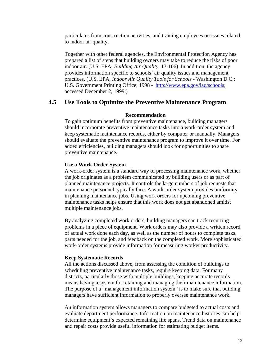particulates from construction activities, and training employees on issues related to indoor air quality.

Together with other federal agencies, the Environmental Protection Agency has prepared a list of steps that building owners may take to reduce the risks of poor indoor air. (U.S. EPA, *Building Air Quality*, 13-106) In addition, the agency provides information specific to schools' air quality issues and management practices. (U.S. EPA, *Indoor Air Quality Tools for Schools* - Washington D.C.: U.S. Government Printing Office, 1998 - http://www.epa.gov/iaq/schools; accessed December 2, 1999.)

## **4.5 Use Tools to Optimize the Preventive Maintenance Program**

#### **Recommendation**

 To gain optimum benefits from preventive maintenance, building managers should incorporate preventive maintenance tasks into a work-order system and keep systematic maintenance records, either by computer or manually. Managers should evaluate the preventive maintenance program to improve it over time. For added efficiencies, building managers should look for opportunities to share preventive maintenance.

#### **Use a Work-Order System**

A work-order system is a standard way of processing maintenance work, whether the job originates as a problem communicated by building users or as part of planned maintenance projects. It controls the large numbers of job requests that maintenance personnel typically face. A work-order system provides uniformity in planning maintenance jobs. Using work orders for upcoming preventive maintenance tasks helps ensure that this work does not get abandoned amidst multiple maintenance jobs.

 By analyzing completed work orders, building managers can track recurring problems in a piece of equipment. Work orders may also provide a written record of actual work done each day, as well as the number of hours to complete tasks, parts needed for the job, and feedback on the completed work. More sophisticated work-order systems provide information for measuring worker productivity.

#### **Keep Systematic Records**

All the actions discussed above, from assessing the condition of buildings to scheduling preventive maintenance tasks, require keeping data. For many districts, particularly those with multiple buildings, keeping accurate records means having a system for retaining and managing their maintenance information. The purpose of a "management information system" is to make sure that building managers have sufficient information to properly oversee maintenance work.

 An information system allows managers to compare budgeted to actual costs and evaluate department performance. Information on maintenance histories can help determine equipment's expected remaining life spans. Trend data on maintenance and repair costs provide useful information for estimating budget items.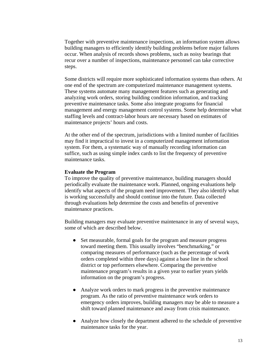Together with preventive maintenance inspections, an information system allows building managers to efficiently identify building problems before major failures occur. When analysis of records shows problems, such as noisy bearings that recur over a number of inspections, maintenance personnel can take corrective steps.

Some districts will require more sophisticated information systems than others. At one end of the spectrum are computerized maintenance management systems. These systems automate many management features such as generating and analyzing work orders, storing building condition information, and tracking preventive maintenance tasks. Some also integrate programs for financial management and energy management control systems. Some help determine what staffing levels and contract-labor hours are necessary based on estimates of maintenance projects' hours and costs.

At the other end of the spectrum, jurisdictions with a limited number of facilities may find it impractical to invest in a computerized management information system. For them, a systematic way of manually recording information can suffice, such as using simple index cards to list the frequency of preventive maintenance tasks.

## **Evaluate the Program**

To improve the quality of preventive maintenance, building managers should periodically evaluate the maintenance work. Planned, ongoing evaluations help identify what aspects of the program need improvement. They also identify what is working successfully and should continue into the future. Data collected through evaluations help determine the costs and benefits of preventive maintenance practices.

Building managers may evaluate preventive maintenance in any of several ways, some of which are described below.

- Set measurable, formal goals for the program and measure progress toward meeting them. This usually involves "benchmarking," or comparing measures of performance (such as the percentage of work orders completed within three days) against a base line in the school district or top performers elsewhere. Comparing the preventive maintenance program's results in a given year to earlier years yields information on the program's progress.
- Analyze work orders to mark progress in the preventive maintenance program. As the ratio of preventive maintenance work orders to emergency orders improves, building managers may be able to measure a shift toward planned maintenance and away from crisis maintenance.
- Analyze how closely the department adhered to the schedule of preventive maintenance tasks for the year.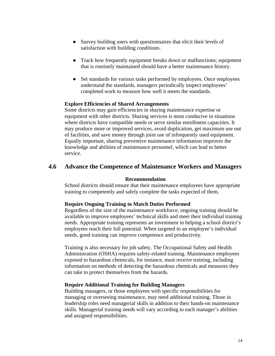- Survey building users with questionnaires that elicit their levels of satisfaction with building conditions.
- Track how frequently equipment breaks down or malfunctions; equipment that is routinely maintained should have a better maintenance history.
- Set standards for various tasks performed by employees. Once employees understand the standards, managers periodically inspect employees' completed work to measure how well it meets the standards.

## **Explore Efficiencies of Shared Arrangements**

Some districts may gain efficiencies in sharing maintenance expertise or equipment with other districts. Sharing services is most conducive in situations where districts have compatible needs or serve similar enrollment capacities. It may produce more or improved services, avoid duplication, get maximum use out of facilities, and save money through joint use of infrequently used equipment. Equally important, sharing preventive maintenance information improves the knowledge and abilities of maintenance personnel, which can lead to better service.

## **4.6 Advance the Competence of Maintenance Workers and Managers**

## **Recommendation**

School districts should ensure that their maintenance employees have appropriate training to competently and safely complete the tasks expected of them.

## **Require Ongoing Training to Match Duties Performed**

Regardless of the size of the maintenance workforce, ongoing training should be available to improve employees' technical skills and meet their individual training needs. Appropriate training represents an investment in helping a school district's employees reach their full potential. When targeted to an employee's individual needs, good training can improve competence and productivity.

 Training is also necessary for job safety. The Occupational Safety and Health Administration (OSHA) requires safety-related training. Maintenance employees exposed to hazardous chemicals, for instance, must receive training, including information on methods of detecting the hazardous chemicals and measures they can take to protect themselves from the hazards.

## **Require Additional Training for Building Managers**

Building managers, or those employees with specific responsibilities for managing or overseeing maintenance, may need additional training. Those in leadership roles need managerial skills in addition to their hands-on maintenance skills. Managerial training needs will vary according to each manager's abilities and assigned responsibilities.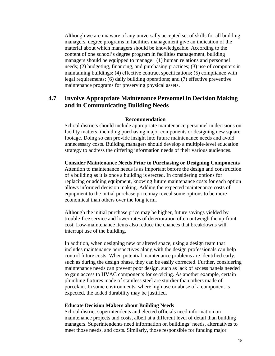Although we are unaware of any universally accepted set of skills for all building managers, degree programs in facilities management give an indication of the material about which managers should be knowledgeable. According to the content of one school's degree program in facilities management, building managers should be equipped to manage: (1) human relations and personnel needs; (2) budgeting, financing, and purchasing practices; (3) use of computers in maintaining buildings; (4) effective contract specifications; (5) compliance with legal requirements; (6) daily building operations; and (7) effective preventive maintenance programs for preserving physical assets.

## **4.7 Involve Appropriate Maintenance Personnel in Decision Making and in Communicating Building Needs**

## **Recommendation**

School districts should include appropriate maintenance personnel in decisions on facility matters, including purchasing major components or designing new square footage. Doing so can provide insight into future maintenance needs and avoid unnecessary costs. Building managers should develop a multiple-level education strategy to address the differing information needs of their various audiences.

## **Consider Maintenance Needs Prior to Purchasing or Designing Components**

Attention to maintenance needs is as important before the design and construction of a building as it is once a building is erected. In considering options for replacing or adding equipment, knowing future maintenance costs for each option allows informed decision making. Adding the expected maintenance costs of equipment to the initial purchase price may reveal some options to be more economical than others over the long term.

Although the initial purchase price may be higher, future savings yielded by trouble-free service and lower rates of deterioration often outweigh the up-front cost. Low-maintenance items also reduce the chances that breakdowns will interrupt use of the building.

In addition, when designing new or altered space, using a design team that includes maintenance perspectives along with the design professionals can help control future costs. When potential maintenance problems are identified early, such as during the design phase, they can be easily corrected. Further, considering maintenance needs can prevent poor design, such as lack of access panels needed to gain access to HVAC components for servicing. As another example, certain plumbing fixtures made of stainless steel are sturdier than others made of porcelain. In some environments, where high use or abuse of a component is expected, the added durability may be justified.

#### **Educate Decision Makers about Building Needs**

School district superintendents and elected officials need information on maintenance projects and costs, albeit at a different level of detail than building managers. Superintendents need information on buildings' needs, alternatives to meet those needs, and costs. Similarly, those responsible for funding major